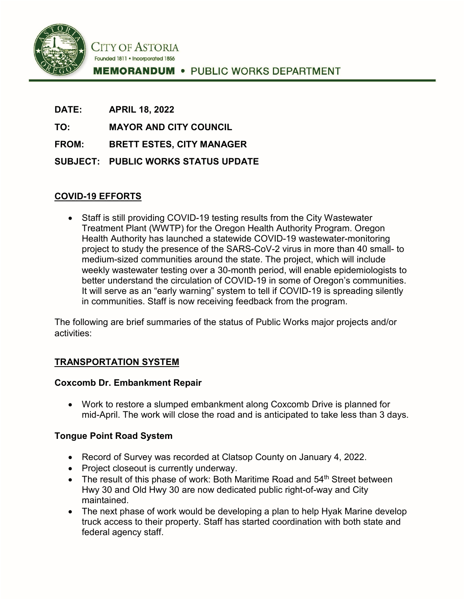

**DATE: APRIL 18, 2022**

**TO: MAYOR AND CITY COUNCIL**

**FROM: BRETT ESTES, CITY MANAGER**

**SUBJECT: PUBLIC WORKS STATUS UPDATE**

# **COVID-19 EFFORTS**

• Staff is still providing COVID-19 testing results from the City Wastewater Treatment Plant (WWTP) for the Oregon Health Authority Program. Oregon Health Authority has launched a statewide COVID-19 wastewater-monitoring project to study the presence of the SARS-CoV-2 virus in more than 40 small- to medium-sized communities around the state. The project, which will include weekly wastewater testing over a 30-month period, will enable epidemiologists to better understand the circulation of COVID-19 in some of Oregon's communities. It will serve as an "early warning" system to tell if COVID-19 is spreading silently in communities. Staff is now receiving feedback from the program.

The following are brief summaries of the status of Public Works major projects and/or activities:

## **TRANSPORTATION SYSTEM**

## **Coxcomb Dr. Embankment Repair**

• Work to restore a slumped embankment along Coxcomb Drive is planned for mid-April. The work will close the road and is anticipated to take less than 3 days.

## **Tongue Point Road System**

- Record of Survey was recorded at Clatsop County on January 4, 2022.
- Project closeout is currently underway.
- The result of this phase of work: Both Maritime Road and 54<sup>th</sup> Street between Hwy 30 and Old Hwy 30 are now dedicated public right-of-way and City maintained.
- The next phase of work would be developing a plan to help Hyak Marine develop truck access to their property. Staff has started coordination with both state and federal agency staff.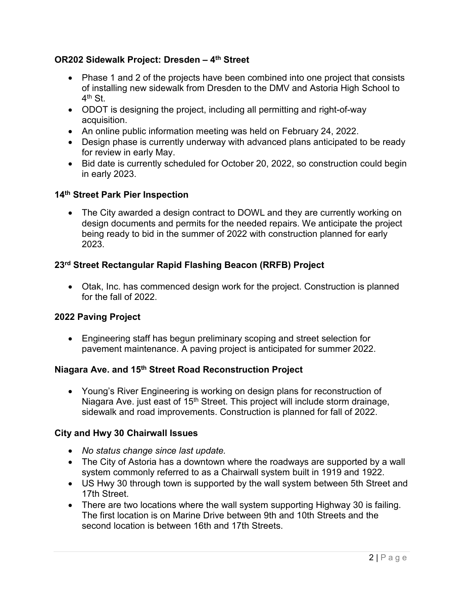## **OR202 Sidewalk Project: Dresden – 4th Street**

- Phase 1 and 2 of the projects have been combined into one project that consists of installing new sidewalk from Dresden to the DMV and Astoria High School to 4th St.
- ODOT is designing the project, including all permitting and right-of-way acquisition.
- An online public information meeting was held on February 24, 2022.
- Design phase is currently underway with advanced plans anticipated to be ready for review in early May.
- Bid date is currently scheduled for October 20, 2022, so construction could begin in early 2023.

### **14th Street Park Pier Inspection**

• The City awarded a design contract to DOWL and they are currently working on design documents and permits for the needed repairs. We anticipate the project being ready to bid in the summer of 2022 with construction planned for early 2023.

## **23rd Street Rectangular Rapid Flashing Beacon (RRFB) Project**

• Otak, Inc. has commenced design work for the project. Construction is planned for the fall of 2022.

## **2022 Paving Project**

• Engineering staff has begun preliminary scoping and street selection for pavement maintenance. A paving project is anticipated for summer 2022.

#### **Niagara Ave. and 15th Street Road Reconstruction Project**

• Young's River Engineering is working on design plans for reconstruction of Niagara Ave. just east of 15<sup>th</sup> Street. This project will include storm drainage, sidewalk and road improvements. Construction is planned for fall of 2022.

#### **City and Hwy 30 Chairwall Issues**

- *No status change since last update.*
- The City of Astoria has a downtown where the roadways are supported by a wall system commonly referred to as a Chairwall system built in 1919 and 1922.
- US Hwy 30 through town is supported by the wall system between 5th Street and 17th Street.
- There are two locations where the wall system supporting Highway 30 is failing. The first location is on Marine Drive between 9th and 10th Streets and the second location is between 16th and 17th Streets.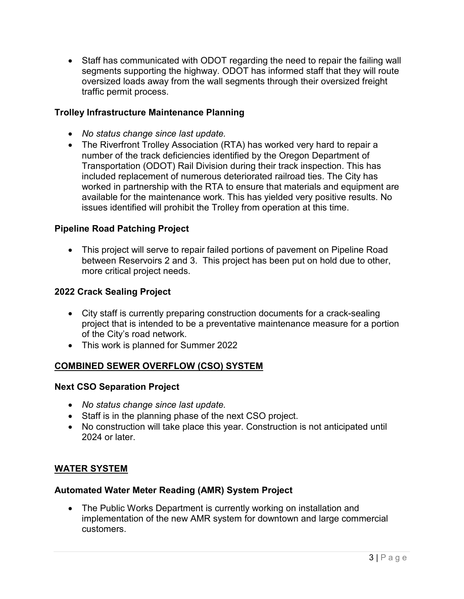• Staff has communicated with ODOT regarding the need to repair the failing wall segments supporting the highway. ODOT has informed staff that they will route oversized loads away from the wall segments through their oversized freight traffic permit process.

### **Trolley Infrastructure Maintenance Planning**

- *No status change since last update.*
- The Riverfront Trolley Association (RTA) has worked very hard to repair a number of the track deficiencies identified by the Oregon Department of Transportation (ODOT) Rail Division during their track inspection. This has included replacement of numerous deteriorated railroad ties. The City has worked in partnership with the RTA to ensure that materials and equipment are available for the maintenance work. This has yielded very positive results. No issues identified will prohibit the Trolley from operation at this time.

### **Pipeline Road Patching Project**

• This project will serve to repair failed portions of pavement on Pipeline Road between Reservoirs 2 and 3. This project has been put on hold due to other, more critical project needs.

### **2022 Crack Sealing Project**

- City staff is currently preparing construction documents for a crack-sealing project that is intended to be a preventative maintenance measure for a portion of the City's road network.
- This work is planned for Summer 2022

#### **COMBINED SEWER OVERFLOW (CSO) SYSTEM**

#### **Next CSO Separation Project**

- *No status change since last update.*
- Staff is in the planning phase of the next CSO project.
- No construction will take place this year. Construction is not anticipated until 2024 or later

#### **WATER SYSTEM**

#### **Automated Water Meter Reading (AMR) System Project**

• The Public Works Department is currently working on installation and implementation of the new AMR system for downtown and large commercial customers.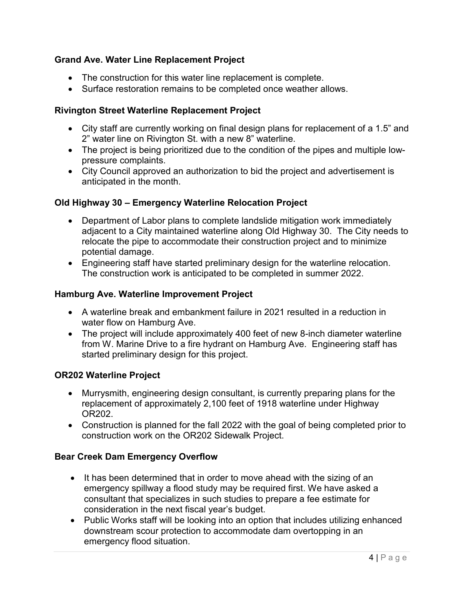## **Grand Ave. Water Line Replacement Project**

- The construction for this water line replacement is complete.
- Surface restoration remains to be completed once weather allows.

## **Rivington Street Waterline Replacement Project**

- City staff are currently working on final design plans for replacement of a 1.5" and 2" water line on Rivington St. with a new 8" waterline.
- The project is being prioritized due to the condition of the pipes and multiple lowpressure complaints.
- City Council approved an authorization to bid the project and advertisement is anticipated in the month.

# **Old Highway 30 – Emergency Waterline Relocation Project**

- Department of Labor plans to complete landslide mitigation work immediately adjacent to a City maintained waterline along Old Highway 30. The City needs to relocate the pipe to accommodate their construction project and to minimize potential damage.
- Engineering staff have started preliminary design for the waterline relocation. The construction work is anticipated to be completed in summer 2022.

## **Hamburg Ave. Waterline Improvement Project**

- A waterline break and embankment failure in 2021 resulted in a reduction in water flow on Hamburg Ave.
- The project will include approximately 400 feet of new 8-inch diameter waterline from W. Marine Drive to a fire hydrant on Hamburg Ave. Engineering staff has started preliminary design for this project.

## **OR202 Waterline Project**

- Murrysmith, engineering design consultant, is currently preparing plans for the replacement of approximately 2,100 feet of 1918 waterline under Highway OR202.
- Construction is planned for the fall 2022 with the goal of being completed prior to construction work on the OR202 Sidewalk Project.

## **Bear Creek Dam Emergency Overflow**

- It has been determined that in order to move ahead with the sizing of an emergency spillway a flood study may be required first. We have asked a consultant that specializes in such studies to prepare a fee estimate for consideration in the next fiscal year's budget.
- Public Works staff will be looking into an option that includes utilizing enhanced downstream scour protection to accommodate dam overtopping in an emergency flood situation.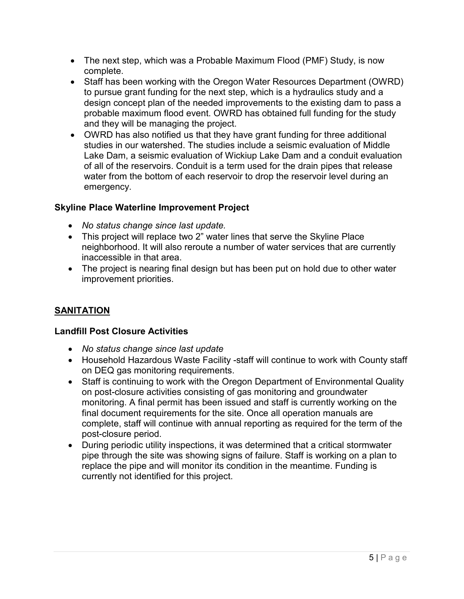- The next step, which was a Probable Maximum Flood (PMF) Study, is now complete.
- Staff has been working with the Oregon Water Resources Department (OWRD) to pursue grant funding for the next step, which is a hydraulics study and a design concept plan of the needed improvements to the existing dam to pass a probable maximum flood event. OWRD has obtained full funding for the study and they will be managing the project.
- OWRD has also notified us that they have grant funding for three additional studies in our watershed. The studies include a seismic evaluation of Middle Lake Dam, a seismic evaluation of Wickiup Lake Dam and a conduit evaluation of all of the reservoirs. Conduit is a term used for the drain pipes that release water from the bottom of each reservoir to drop the reservoir level during an emergency.

# **Skyline Place Waterline Improvement Project**

- *No status change since last update.*
- This project will replace two 2" water lines that serve the Skyline Place neighborhood. It will also reroute a number of water services that are currently inaccessible in that area.
- The project is nearing final design but has been put on hold due to other water improvement priorities.

# **SANITATION**

## **Landfill Post Closure Activities**

- *No status change since last update*
- Household Hazardous Waste Facility -staff will continue to work with County staff on DEQ gas monitoring requirements.
- Staff is continuing to work with the Oregon Department of Environmental Quality on post-closure activities consisting of gas monitoring and groundwater monitoring. A final permit has been issued and staff is currently working on the final document requirements for the site. Once all operation manuals are complete, staff will continue with annual reporting as required for the term of the post-closure period.
- During periodic utility inspections, it was determined that a critical stormwater pipe through the site was showing signs of failure. Staff is working on a plan to replace the pipe and will monitor its condition in the meantime. Funding is currently not identified for this project.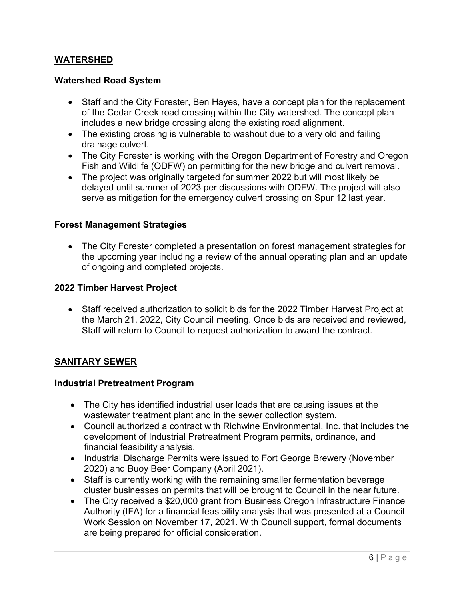## **WATERSHED**

#### **Watershed Road System**

- Staff and the City Forester, Ben Hayes, have a concept plan for the replacement of the Cedar Creek road crossing within the City watershed. The concept plan includes a new bridge crossing along the existing road alignment.
- The existing crossing is vulnerable to washout due to a very old and failing drainage culvert.
- The City Forester is working with the Oregon Department of Forestry and Oregon Fish and Wildlife (ODFW) on permitting for the new bridge and culvert removal.
- The project was originally targeted for summer 2022 but will most likely be delayed until summer of 2023 per discussions with ODFW. The project will also serve as mitigation for the emergency culvert crossing on Spur 12 last year.

#### **Forest Management Strategies**

• The City Forester completed a presentation on forest management strategies for the upcoming year including a review of the annual operating plan and an update of ongoing and completed projects.

#### **2022 Timber Harvest Project**

• Staff received authorization to solicit bids for the 2022 Timber Harvest Project at the March 21, 2022, City Council meeting. Once bids are received and reviewed, Staff will return to Council to request authorization to award the contract.

#### **SANITARY SEWER**

#### **Industrial Pretreatment Program**

- The City has identified industrial user loads that are causing issues at the wastewater treatment plant and in the sewer collection system.
- Council authorized a contract with Richwine Environmental, Inc. that includes the development of Industrial Pretreatment Program permits, ordinance, and financial feasibility analysis.
- Industrial Discharge Permits were issued to Fort George Brewery (November 2020) and Buoy Beer Company (April 2021).
- Staff is currently working with the remaining smaller fermentation beverage cluster businesses on permits that will be brought to Council in the near future.
- The City received a \$20,000 grant from Business Oregon Infrastructure Finance Authority (IFA) for a financial feasibility analysis that was presented at a Council Work Session on November 17, 2021. With Council support, formal documents are being prepared for official consideration.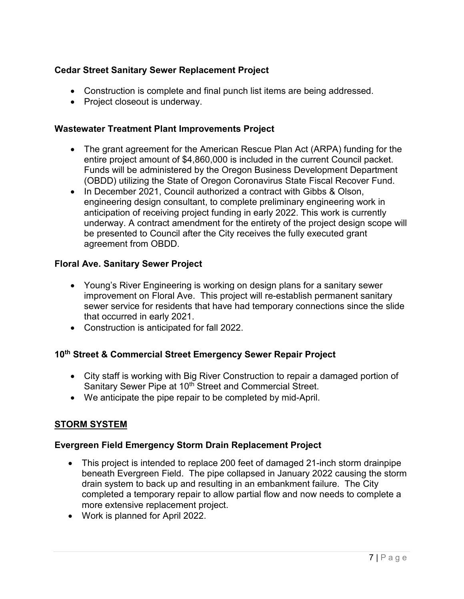## **Cedar Street Sanitary Sewer Replacement Project**

- Construction is complete and final punch list items are being addressed.
- Project closeout is underway.

### **Wastewater Treatment Plant Improvements Project**

- The grant agreement for the American Rescue Plan Act (ARPA) funding for the entire project amount of \$4,860,000 is included in the current Council packet. Funds will be administered by the Oregon Business Development Department (OBDD) utilizing the State of Oregon Coronavirus State Fiscal Recover Fund.
- In December 2021, Council authorized a contract with Gibbs & Olson, engineering design consultant, to complete preliminary engineering work in anticipation of receiving project funding in early 2022. This work is currently underway. A contract amendment for the entirety of the project design scope will be presented to Council after the City receives the fully executed grant agreement from OBDD.

### **Floral Ave. Sanitary Sewer Project**

- Young's River Engineering is working on design plans for a sanitary sewer improvement on Floral Ave. This project will re-establish permanent sanitary sewer service for residents that have had temporary connections since the slide that occurred in early 2021.
- Construction is anticipated for fall 2022.

## **10th Street & Commercial Street Emergency Sewer Repair Project**

- City staff is working with Big River Construction to repair a damaged portion of Sanitary Sewer Pipe at 10<sup>th</sup> Street and Commercial Street.
- We anticipate the pipe repair to be completed by mid-April.

## **STORM SYSTEM**

## **Evergreen Field Emergency Storm Drain Replacement Project**

- This project is intended to replace 200 feet of damaged 21-inch storm drainpipe beneath Evergreen Field. The pipe collapsed in January 2022 causing the storm drain system to back up and resulting in an embankment failure. The City completed a temporary repair to allow partial flow and now needs to complete a more extensive replacement project.
- Work is planned for April 2022.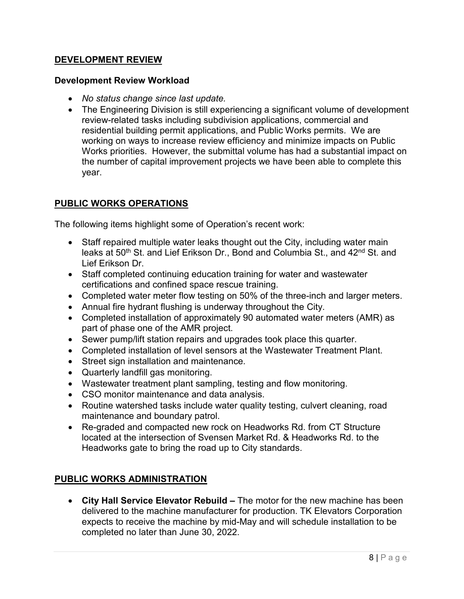### **DEVELOPMENT REVIEW**

#### **Development Review Workload**

- *No status change since last update.*
- The Engineering Division is still experiencing a significant volume of development review-related tasks including subdivision applications, commercial and residential building permit applications, and Public Works permits. We are working on ways to increase review efficiency and minimize impacts on Public Works priorities. However, the submittal volume has had a substantial impact on the number of capital improvement projects we have been able to complete this year.

## **PUBLIC WORKS OPERATIONS**

The following items highlight some of Operation's recent work:

- Staff repaired multiple water leaks thought out the City, including water main leaks at 50<sup>th</sup> St. and Lief Erikson Dr., Bond and Columbia St., and 42<sup>nd</sup> St. and Lief Erikson Dr.
- Staff completed continuing education training for water and wastewater certifications and confined space rescue training.
- Completed water meter flow testing on 50% of the three-inch and larger meters.
- Annual fire hydrant flushing is underway throughout the City.
- Completed installation of approximately 90 automated water meters (AMR) as part of phase one of the AMR project.
- Sewer pump/lift station repairs and upgrades took place this quarter.
- Completed installation of level sensors at the Wastewater Treatment Plant.
- Street sign installation and maintenance.
- Quarterly landfill gas monitoring.
- Wastewater treatment plant sampling, testing and flow monitoring.
- CSO monitor maintenance and data analysis.
- Routine watershed tasks include water quality testing, culvert cleaning, road maintenance and boundary patrol.
- Re-graded and compacted new rock on Headworks Rd. from CT Structure located at the intersection of Svensen Market Rd. & Headworks Rd. to the Headworks gate to bring the road up to City standards.

## **PUBLIC WORKS ADMINISTRATION**

• **City Hall Service Elevator Rebuild –** The motor for the new machine has been delivered to the machine manufacturer for production. TK Elevators Corporation expects to receive the machine by mid-May and will schedule installation to be completed no later than June 30, 2022.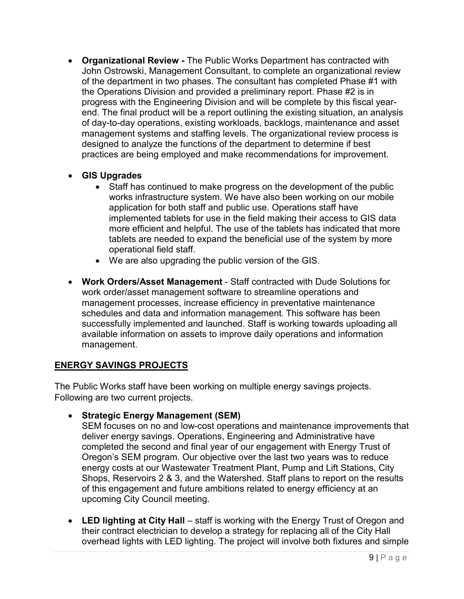- **Organizational Review -** The Public Works Department has contracted with John Ostrowski, Management Consultant, to complete an organizational review of the department in two phases. The consultant has completed Phase #1 with the Operations Division and provided a preliminary report. Phase #2 is in progress with the Engineering Division and will be complete by this fiscal yearend. The final product will be a report outlining the existing situation, an analysis of day-to-day operations, existing workloads, backlogs, maintenance and asset management systems and staffing levels. The organizational review process is designed to analyze the functions of the department to determine if best practices are being employed and make recommendations for improvement.
- **GIS Upgrades**
	- Staff has continued to make progress on the development of the public works infrastructure system. We have also been working on our mobile application for both staff and public use. Operations staff have implemented tablets for use in the field making their access to GIS data more efficient and helpful. The use of the tablets has indicated that more tablets are needed to expand the beneficial use of the system by more operational field staff.
	- We are also upgrading the public version of the GIS.
- **Work Orders/Asset Management** Staff contracted with Dude Solutions for work order/asset management software to streamline operations and management processes, increase efficiency in preventative maintenance schedules and data and information management. This software has been successfully implemented and launched. Staff is working towards uploading all available information on assets to improve daily operations and information management.

# **ENERGY SAVINGS PROJECTS**

The Public Works staff have been working on multiple energy savings projects. Following are two current projects.

• **Strategic Energy Management (SEM)** 

SEM focuses on no and low-cost operations and maintenance improvements that deliver energy savings. Operations, Engineering and Administrative have completed the second and final year of our engagement with Energy Trust of Oregon's SEM program. Our objective over the last two years was to reduce energy costs at our Wastewater Treatment Plant, Pump and Lift Stations, City Shops, Reservoirs 2 & 3, and the Watershed. Staff plans to report on the results of this engagement and future ambitions related to energy efficiency at an upcoming City Council meeting.

• LED lighting at City Hall – staff is working with the Energy Trust of Oregon and their contract electrician to develop a strategy for replacing all of the City Hall overhead lights with LED lighting. The project will involve both fixtures and simple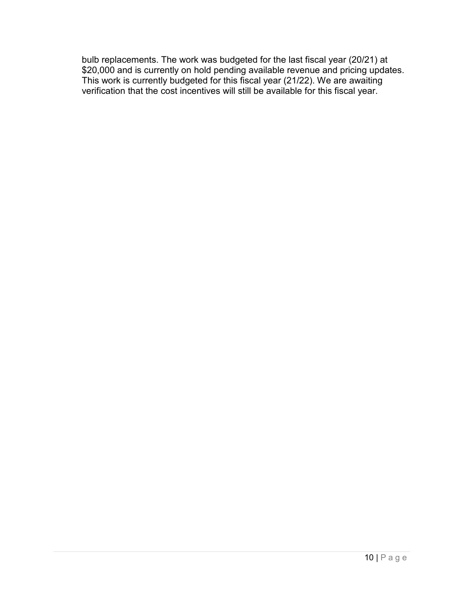bulb replacements. The work was budgeted for the last fiscal year (20/21) at \$20,000 and is currently on hold pending available revenue and pricing updates. This work is currently budgeted for this fiscal year (21/22). We are awaiting verification that the cost incentives will still be available for this fiscal year.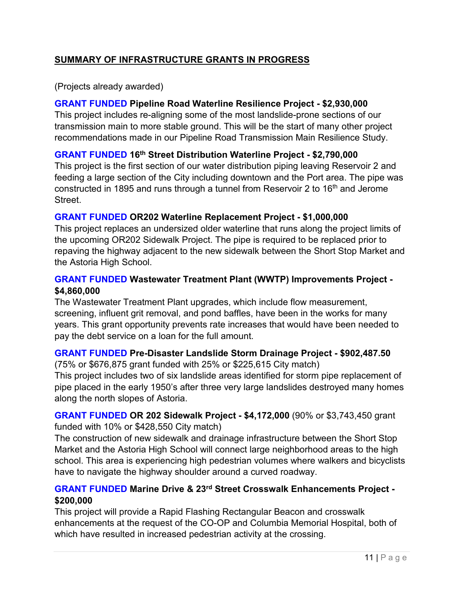# **SUMMARY OF INFRASTRUCTURE GRANTS IN PROGRESS**

(Projects already awarded)

## **GRANT FUNDED Pipeline Road Waterline Resilience Project - \$2,930,000**

This project includes re-aligning some of the most landslide-prone sections of our transmission main to more stable ground. This will be the start of many other project recommendations made in our Pipeline Road Transmission Main Resilience Study.

## **GRANT FUNDED 16th Street Distribution Waterline Project - \$2,790,000**

This project is the first section of our water distribution piping leaving Reservoir 2 and feeding a large section of the City including downtown and the Port area. The pipe was constructed in 1895 and runs through a tunnel from Reservoir 2 to 16<sup>th</sup> and Jerome Street.

### **GRANT FUNDED OR202 Waterline Replacement Project - \$1,000,000**

This project replaces an undersized older waterline that runs along the project limits of the upcoming OR202 Sidewalk Project. The pipe is required to be replaced prior to repaving the highway adjacent to the new sidewalk between the Short Stop Market and the Astoria High School.

## **GRANT FUNDED Wastewater Treatment Plant (WWTP) Improvements Project - \$4,860,000**

The Wastewater Treatment Plant upgrades, which include flow measurement, screening, influent grit removal, and pond baffles, have been in the works for many years. This grant opportunity prevents rate increases that would have been needed to pay the debt service on a loan for the full amount.

## **GRANT FUNDED Pre-Disaster Landslide Storm Drainage Project - \$902,487.50**

(75% or \$676,875 grant funded with 25% or \$225,615 City match)

This project includes two of six landslide areas identified for storm pipe replacement of pipe placed in the early 1950's after three very large landslides destroyed many homes along the north slopes of Astoria.

**GRANT FUNDED OR 202 Sidewalk Project - \$4,172,000** (90% or \$3,743,450 grant funded with 10% or \$428,550 City match)

The construction of new sidewalk and drainage infrastructure between the Short Stop Market and the Astoria High School will connect large neighborhood areas to the high school. This area is experiencing high pedestrian volumes where walkers and bicyclists have to navigate the highway shoulder around a curved roadway.

## **GRANT FUNDED Marine Drive & 23rd Street Crosswalk Enhancements Project - \$200,000**

This project will provide a Rapid Flashing Rectangular Beacon and crosswalk enhancements at the request of the CO-OP and Columbia Memorial Hospital, both of which have resulted in increased pedestrian activity at the crossing.